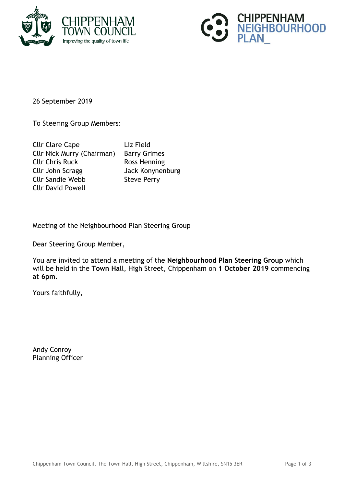



26 September 2019

To Steering Group Members:

| <b>Cllr Clare Cape</b>            | Liz Field       |
|-----------------------------------|-----------------|
| <b>Cllr Nick Murry (Chairman)</b> | <b>Barry Gr</b> |
| <b>Cllr Chris Ruck</b>            | <b>Ross Her</b> |
| Cllr John Scragg                  | <b>Jack Kor</b> |
| <b>Cllr Sandie Webb</b>           | <b>Steve Pe</b> |
| <b>Cllr David Powell</b>          |                 |

Grimes / Henning Konynenburg Perry

Meeting of the Neighbourhood Plan Steering Group

Dear Steering Group Member,

You are invited to attend a meeting of the **Neighbourhood Plan Steering Group** which will be held in the **Town Hall**, High Street, Chippenham on **1 October 2019** commencing at **6pm.**

Yours faithfully,

Andy Conroy Planning Officer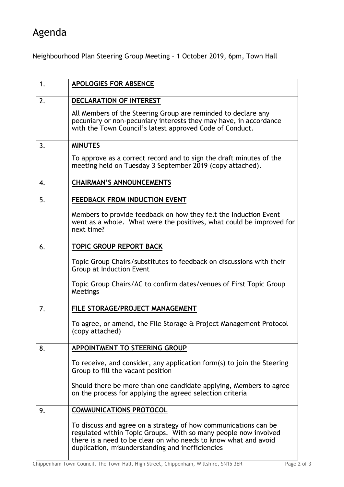## Agenda

Neighbourhood Plan Steering Group Meeting – 1 October 2019, 6pm, Town Hall

| 1. | <b>APOLOGIES FOR ABSENCE</b>                                                                                                                                                                                                                              |
|----|-----------------------------------------------------------------------------------------------------------------------------------------------------------------------------------------------------------------------------------------------------------|
| 2. | DECLARATION OF INTEREST                                                                                                                                                                                                                                   |
|    | All Members of the Steering Group are reminded to declare any<br>pecuniary or non-pecuniary interests they may have, in accordance<br>with the Town Council's latest approved Code of Conduct.                                                            |
| 3. | <b>MINUTES</b>                                                                                                                                                                                                                                            |
|    | To approve as a correct record and to sign the draft minutes of the<br>meeting held on Tuesday 3 September 2019 (copy attached).                                                                                                                          |
| 4. | <b>CHAIRMAN'S ANNOUNCEMENTS</b>                                                                                                                                                                                                                           |
| 5. | FEEDBACK FROM INDUCTION EVENT                                                                                                                                                                                                                             |
|    | Members to provide feedback on how they felt the Induction Event<br>went as a whole. What were the positives, what could be improved for<br>next time?                                                                                                    |
| 6. | <b>TOPIC GROUP REPORT BACK</b>                                                                                                                                                                                                                            |
|    | Topic Group Chairs/substitutes to feedback on discussions with their<br>Group at Induction Event                                                                                                                                                          |
|    | Topic Group Chairs/AC to confirm dates/venues of First Topic Group<br>Meetings                                                                                                                                                                            |
| 7. | FILE STORAGE/PROJECT MANAGEMENT                                                                                                                                                                                                                           |
|    | To agree, or amend, the File Storage & Project Management Protocol<br>(copy attached)                                                                                                                                                                     |
| 8. | <b>APPOINTMENT TO STEERING GROUP</b>                                                                                                                                                                                                                      |
|    | To receive, and consider, any application form(s) to join the Steering<br>Group to fill the vacant position                                                                                                                                               |
|    | Should there be more than one candidate applying, Members to agree<br>on the process for applying the agreed selection criteria                                                                                                                           |
| 9. | <b>COMMUNICATIONS PROTOCOL</b>                                                                                                                                                                                                                            |
|    | To discuss and agree on a strategy of how communications can be<br>regulated within Topic Groups. With so many people now involved<br>there is a need to be clear on who needs to know what and avoid<br>duplication, misunderstanding and inefficiencies |